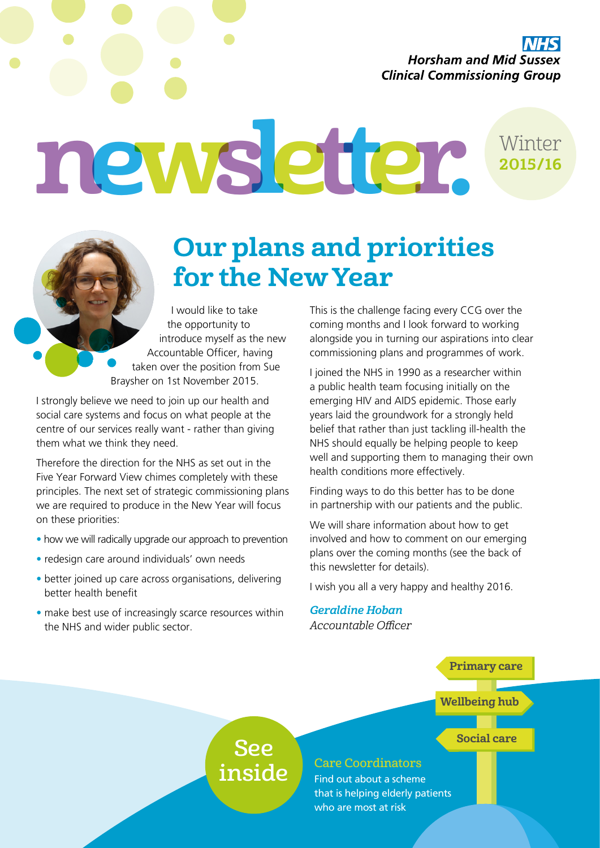**Horsham and Mid Sussex Clinical Commissioning Group** 

newsletter. Winter 2015/16

## Our plans and priorities for the New Year

I would like to take the opportunity to introduce myself as the new Accountable Officer, having taken over the position from Sue Braysher on 1st November 2015.

I strongly believe we need to join up our health and social care systems and focus on what people at the centre of our services really want - rather than giving them what we think they need.

Therefore the direction for the NHS as set out in the Five Year Forward View chimes completely with these principles. The next set of strategic commissioning plans we are required to produce in the New Year will focus on these priorities:

- how we will radically upgrade our approach to prevention
- redesign care around individuals' own needs
- better joined up care across organisations, delivering better health benefit
- make best use of increasingly scarce resources within the NHS and wider public sector.

This is the challenge facing every CCG over the coming months and I look forward to working alongside you in turning our aspirations into clear commissioning plans and programmes of work.

I joined the NHS in 1990 as a researcher within a public health team focusing initially on the emerging HIV and AIDS epidemic. Those early years laid the groundwork for a strongly held belief that rather than just tackling ill-health the NHS should equally be helping people to keep well and supporting them to managing their own health conditions more effectively.

Finding ways to do this better has to be done in partnership with our patients and the public.

We will share information about how to get involved and how to comment on our emerging plans over the coming months (see the back of this newsletter for details).

I wish you all a very happy and healthy 2016.

Geraldine Hoban Accountable Officer

#### Primary care

#### Wellbeing hub

#### Social care

### See inside

#### Care Coordinators

Find out about a scheme that is helping elderly patients who are most at risk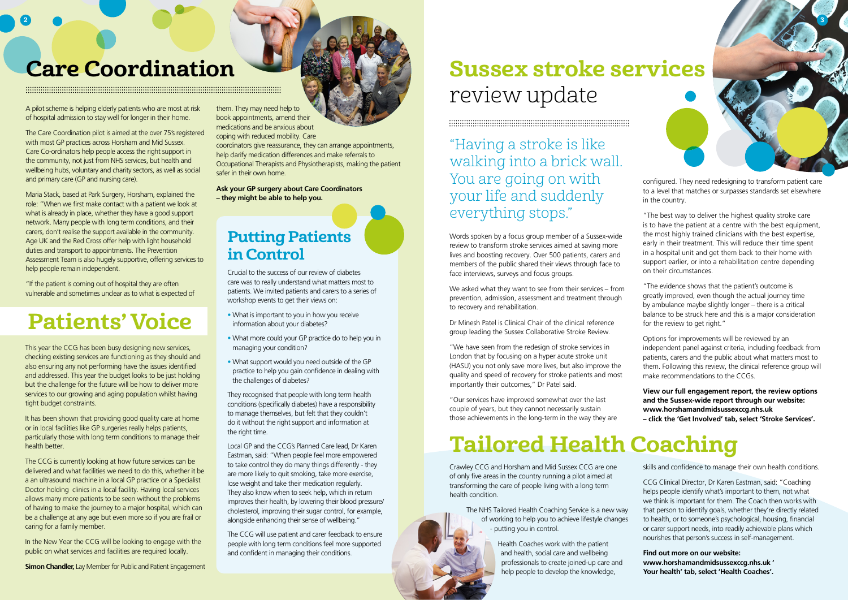# review update

#### 

"Having a stroke is like walking into a brick wall. You are going on with your life and suddenly everything stops."

## Putting Patients in Control

Crucial to the success of our review of diabetes care was to really understand what matters most to patients. We invited patients and carers to a series of workshop events to get their views on:

- What is important to you in how you receive information about your diabetes?
- What more could your GP practice do to help you in managing your condition?
- What support would you need outside of the GP practice to help you gain confidence in dealing with the challenges of diabetes?

They recognised that people with long term health conditions (specifically diabetes) have a responsibility to manage themselves, but felt that they couldn't do it without the right support and information at the right time.

Local GP and the CCG's Planned Care lead, Dr Karen Eastman, said: "When people feel more empowered to take control they do many things differently - they are more likely to quit smoking, take more exercise, lose weight and take their medication regularly. They also know when to seek help, which in return improves their health, by lowering their blood pressure/ cholesterol, improving their sugar control, for example, alongside enhancing their sense of wellbeing."

The CCG will use patient and carer feedback to ensure people with long term conditions feel more supported and confident in managing their conditions.

It has been shown that providing good quality care at home or in local facilities like GP surgeries really helps patients, particularly those with long term conditions to manage their health better.

Words spoken by a focus group member of a Sussex-wide review to transform stroke services aimed at saving more lives and boosting recovery. Over 500 patients, carers and members of the public shared their views through face to face interviews, surveys and focus groups.

We asked what they want to see from their services – from prevention, admission, assessment and treatment through to recovery and rehabilitation.

Dr Minesh Patel is Clinical Chair of the clinical reference group leading the Sussex Collaborative Stroke Review.

"We have seen from the redesign of stroke services in London that by focusing on a hyper acute stroke unit (HASU) you not only save more lives, but also improve the quality and speed of recovery for stroke patients and most importantly their outcomes," Dr Patel said.

"Our services have improved somewhat over the last couple of years, but they cannot necessarily sustain those achievements in the long-term in the way they are

"If the patient is coming out of hospital they are often vulnerable and sometimes unclear as to what is expected of

This year the CCG has been busy designing new services, checking existing services are functioning as they should and also ensuring any not performing have the issues identified and addressed. This year the budget looks to be just holding but the challenge for the future will be how to deliver more services to our growing and aging population whilst having tight budget constraints.

The CCG is currently looking at how future services can be delivered and what facilities we need to do this, whether it be a an ultrasound machine in a local GP practice or a Specialist Doctor holding clinics in a local facility. Having local services allows many more patients to be seen without the problems of having to make the journey to a major hospital, which can be a challenge at any age but even more so if you are frail or caring for a family member.

In the New Year the CCG will be looking to engage with the public on what services and facilities are required locally.



Crawley CCG and Horsham and Mid Sussex CCG are one of only five areas in the country running a pilot aimed at transforming the care of people living with a long term health condition.

The NHS Tailored Health Coaching Service is a new way of working to help you to achieve lifestyle changes - putting you in control.

> Health Coaches work with the patient and health, social care and wellbeing professionals to create joined-up care and help people to develop the knowledge,

**Simon Chandler, Lay Member for Public and Patient Engagement** 

## **Care Coordination Care Coordination Care Coordination**

A pilot scheme is helping elderly patients who are most at risk of hospital admission to stay well for longer in their home.

The Care Coordination pilot is aimed at the over 75's registered with most GP practices across Horsham and Mid Sussex. Care Co-ordinators help people access the right support in the community, not just from NHS services, but health and wellbeing hubs, voluntary and charity sectors, as well as social and primary care (GP and nursing care).

Maria Stack, based at Park Surgery, Horsham, explained the role: "When we first make contact with a patient we look at what is already in place, whether they have a good support network. Many people with long term conditions, and their carers, don't realise the support available in the community. Age UK and the Red Cross offer help with light household duties and transport to appointments. The Prevention Assessment Team is also hugely supportive, offering services to help people remain independent.

configured. They need redesigning to transform patient care to a level that matches or surpasses standards set elsewhere in the country.

"The best way to deliver the highest quality stroke care is to have the patient at a centre with the best equipment, the most highly trained clinicians with the best expertise, early in their treatment. This will reduce their time spent in a hospital unit and get them back to their home with support earlier, or into a rehabilitation centre depending on their circumstances.

"The evidence shows that the patient's outcome is greatly improved, even though the actual journey time by ambulance maybe slightly longer – there is a critical balance to be struck here and this is a major consideration for the review to get right."

Options for improvements will be reviewed by an independent panel against criteria, including feedback from patients, carers and the public about what matters most to them. Following this review, the clinical reference group will make recommendations to the CCGs.

**View our full engagement report, the review options and the Sussex-wide report through our website: www.horshamandmidsussexccg.nhs.uk – click the 'Get Involved' tab, select 'Stroke Services'.**

them. They may need help to book appointments, amend their medications and be anxious about coping with reduced mobility. Care

coordinators give reassurance, they can arrange appointments, help clarify medication differences and make referrals to Occupational Therapists and Physiotherapists, making the patient safer in their own home.

**Ask your GP surgery about Care Coordinators – they might be able to help you.**

# Tailored Health Coaching

skills and confidence to manage their own health conditions.

CCG Clinical Director, Dr Karen Eastman, said: "Coaching helps people identify what's important to them, not what we think is important for them. The Coach then works with that person to identify goals, whether they're directly related to health, or to someone's psychological, housing, financial or carer support needs, into readily achievable plans which nourishes that person's success in self-management.

**Find out more on our website: www.horshamandmidsussexccg.nhs.uk ' Your health' tab, select 'Health Coaches'.**

# Patients' Voice